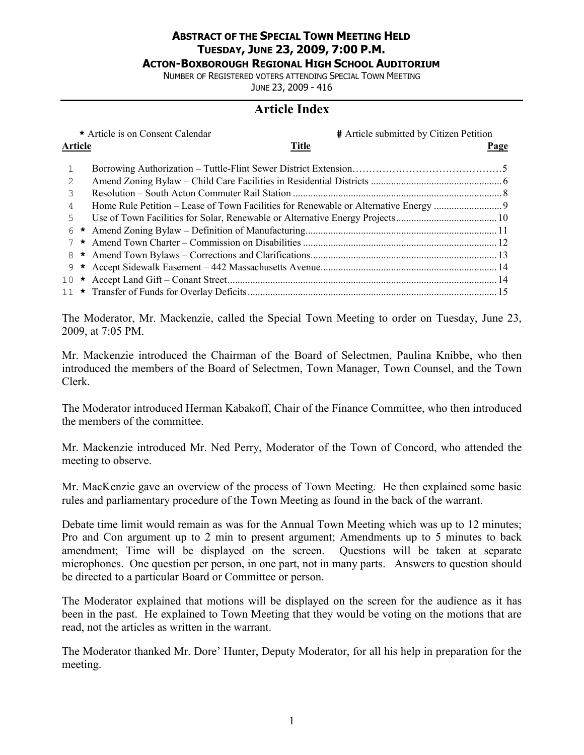## **ABSTRACT OF THE SPECIAL TOWN MEETING HELD TUESDAY, JUNE 23, 2009, 7:00 P.M. ACTON-BOXBOROUGH REGIONAL HIGH SCHOOL AUDITORIUM**

NUMBER OF REGISTERED VOTERS ATTENDING SPECIAL TOWN MEETING JUNE 23, 2009 - 416

# **Article Index**

|                                |  | * Article is on Consent Calendar | # Article submitted by Citizen Petition |
|--------------------------------|--|----------------------------------|-----------------------------------------|
| <b>Title</b><br><b>Article</b> |  |                                  | <b>Page</b>                             |
| 1                              |  |                                  |                                         |
| 2                              |  |                                  |                                         |
| 3                              |  |                                  |                                         |
| 4                              |  |                                  |                                         |
| 5                              |  |                                  |                                         |
| 6                              |  |                                  |                                         |
|                                |  |                                  |                                         |
| 8                              |  |                                  |                                         |
| 9                              |  |                                  |                                         |
|                                |  |                                  |                                         |
|                                |  |                                  |                                         |

The Moderator, Mr. Mackenzie, called the Special Town Meeting to order on Tuesday, June 23, 2009, at 7:05 PM.

Mr. Mackenzie introduced the Chairman of the Board of Selectmen, Paulina Knibbe, who then introduced the members of the Board of Selectmen, Town Manager, Town Counsel, and the Town Clerk.

The Moderator introduced Herman Kabakoff, Chair of the Finance Committee, who then introduced the members of the committee.

Mr. Mackenzie introduced Mr. Ned Perry, Moderator of the Town of Concord, who attended the meeting to observe.

Mr. MacKenzie gave an overview of the process of Town Meeting. He then explained some basic rules and parliamentary procedure of the Town Meeting as found in the back of the warrant.

Debate time limit would remain as was for the Annual Town Meeting which was up to 12 minutes; Pro and Con argument up to 2 min to present argument; Amendments up to 5 minutes to back amendment; Time will be displayed on the screen. Questions will be taken at separate microphones. One question per person, in one part, not in many parts. Answers to question should be directed to a particular Board or Committee or person.

The Moderator explained that motions will be displayed on the screen for the audience as it has been in the past. He explained to Town Meeting that they would be voting on the motions that are read, not the articles as written in the warrant.

The Moderator thanked Mr. Dore' Hunter, Deputy Moderator, for all his help in preparation for the meeting.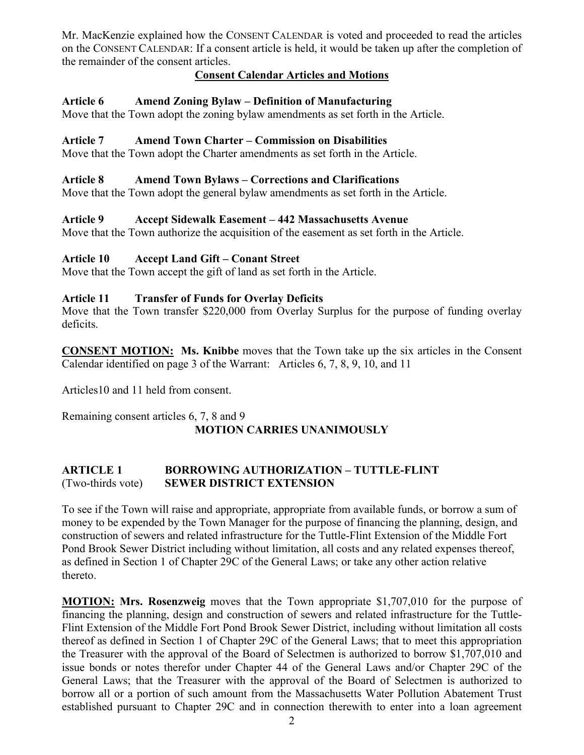Mr. MacKenzie explained how the CONSENT CALENDAR is voted and proceeded to read the articles on the CONSENT CALENDAR: If a consent article is held, it would be taken up after the completion of the remainder of the consent articles.

# **Consent Calendar Articles and Motions**

# **Article 6 Amend Zoning Bylaw – Definition of Manufacturing**

Move that the Town adopt the zoning bylaw amendments as set forth in the Article.

## **Article 7 Amend Town Charter – Commission on Disabilities**

Move that the Town adopt the Charter amendments as set forth in the Article.

## **Article 8 Amend Town Bylaws – Corrections and Clarifications**

Move that the Town adopt the general bylaw amendments as set forth in the Article.

## **Article 9 Accept Sidewalk Easement – 442 Massachusetts Avenue**

Move that the Town authorize the acquisition of the easement as set forth in the Article.

# **Article 10 Accept Land Gift – Conant Street**

Move that the Town accept the gift of land as set forth in the Article.

## **Article 11 Transfer of Funds for Overlay Deficits**

Move that the Town transfer \$220,000 from Overlay Surplus for the purpose of funding overlay deficits.

**CONSENT MOTION: Ms. Knibbe** moves that the Town take up the six articles in the Consent Calendar identified on page 3 of the Warrant: Articles 6, 7, 8, 9, 10, and 11

Articles10 and 11 held from consent.

Remaining consent articles 6, 7, 8 and 9 **MOTION CARRIES UNANIMOUSLY**

# **ARTICLE 1 BORROWING AUTHORIZATION – TUTTLE-FLINT**  (Two-thirds vote) **SEWER DISTRICT EXTENSION**

To see if the Town will raise and appropriate, appropriate from available funds, or borrow a sum of money to be expended by the Town Manager for the purpose of financing the planning, design, and construction of sewers and related infrastructure for the Tuttle-Flint Extension of the Middle Fort Pond Brook Sewer District including without limitation, all costs and any related expenses thereof, as defined in Section 1 of Chapter 29C of the General Laws; or take any other action relative thereto.

**MOTION: Mrs. Rosenzweig** moves that the Town appropriate \$1,707,010 for the purpose of financing the planning, design and construction of sewers and related infrastructure for the Tuttle-Flint Extension of the Middle Fort Pond Brook Sewer District, including without limitation all costs thereof as defined in Section 1 of Chapter 29C of the General Laws; that to meet this appropriation the Treasurer with the approval of the Board of Selectmen is authorized to borrow \$1,707,010 and issue bonds or notes therefor under Chapter 44 of the General Laws and/or Chapter 29C of the General Laws; that the Treasurer with the approval of the Board of Selectmen is authorized to borrow all or a portion of such amount from the Massachusetts Water Pollution Abatement Trust established pursuant to Chapter 29C and in connection therewith to enter into a loan agreement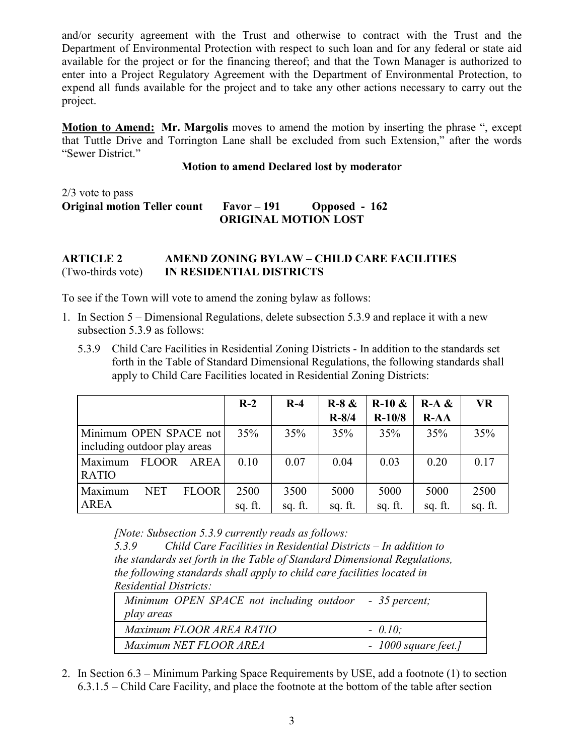and/or security agreement with the Trust and otherwise to contract with the Trust and the Department of Environmental Protection with respect to such loan and for any federal or state aid available for the project or for the financing thereof; and that the Town Manager is authorized to enter into a Project Regulatory Agreement with the Department of Environmental Protection, to expend all funds available for the project and to take any other actions necessary to carry out the project.

**Motion to Amend: Mr. Margolis** moves to amend the motion by inserting the phrase ", except that Tuttle Drive and Torrington Lane shall be excluded from such Extension," after the words "Sewer District."

**Motion to amend Declared lost by moderator** 

2/3 vote to pass **Original motion Teller count Favor – 191 Opposed - 162 ORIGINAL MOTION LOST**

## **ARTICLE 2 AMEND ZONING BYLAW – CHILD CARE FACILITIES**  (Two-thirds vote) **IN RESIDENTIAL DISTRICTS**

To see if the Town will vote to amend the zoning bylaw as follows:

- 1. In Section 5 Dimensional Regulations, delete subsection 5.3.9 and replace it with a new subsection 5.3.9 as follows:
	- 5.3.9 Child Care Facilities in Residential Zoning Districts In addition to the standards set forth in the Table of Standard Dimensional Regulations, the following standards shall apply to Child Care Facilities located in Residential Zoning Districts:

|                                                        | $R-2$           | $R-4$           | $R-8 &$<br>$R - 8/4$ | $R-10 &$<br>$R-10/8$ | $R-A &$<br>$R-AA$ | <b>VR</b>       |
|--------------------------------------------------------|-----------------|-----------------|----------------------|----------------------|-------------------|-----------------|
| Minimum OPEN SPACE not<br>including outdoor play areas | 35%             | 35%             | 35%                  | 35%                  | 35%               | 35%             |
| <b>FLOOR</b><br>AREA<br>Maximum<br><b>RATIO</b>        | 0.10            | 0.07            | 0.04                 | 0.03                 | 0.20              | 0.17            |
| <b>NET</b><br><b>FLOOR</b><br>Maximum<br><b>AREA</b>   | 2500<br>sq. ft. | 3500<br>sq. ft. | 5000<br>sq. ft.      | 5000<br>sq. ft.      | 5000<br>sq. ft.   | 2500<br>sq. ft. |

*[Note: Subsection 5.3.9 currently reads as follows:* 

*5.3.9 Child Care Facilities in Residential Districts – In addition to the standards set forth in the Table of Standard Dimensional Regulations, the following standards shall apply to child care facilities located in Residential Districts:* 

| Minimum OPEN SPACE not including outdoor - 35 percent;<br>play areas |                       |
|----------------------------------------------------------------------|-----------------------|
| Maximum FLOOR AREA RATIO                                             | $-0.10$ :             |
| Maximum NET FLOOR AREA                                               | $-1000$ square feet.] |

2. In Section 6.3 – Minimum Parking Space Requirements by USE, add a footnote (1) to section 6.3.1.5 – Child Care Facility, and place the footnote at the bottom of the table after section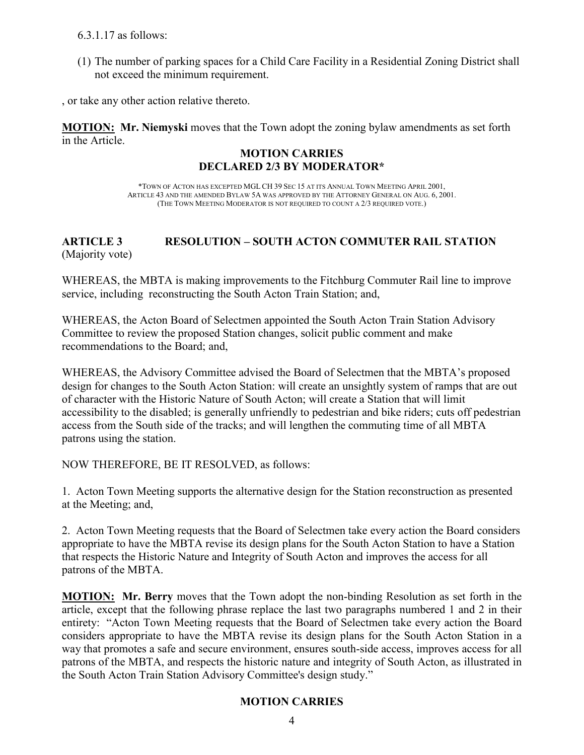6.3.1.17 as follows:

(1) The number of parking spaces for a Child Care Facility in a Residential Zoning District shall not exceed the minimum requirement.

, or take any other action relative thereto.

**MOTION: Mr. Niemyski** moves that the Town adopt the zoning bylaw amendments as set forth in the Article.

# **MOTION CARRIES DECLARED 2/3 BY MODERATOR\***

\*TOWN OF ACTON HAS EXCEPTED MGL CH 39 SEC 15 AT ITS ANNUAL TOWN MEETING APRIL 2001, ARTICLE 43 AND THE AMENDED BYLAW 5A WAS APPROVED BY THE ATTORNEY GENERAL ON AUG. 6, 2001. (THE TOWN MEETING MODERATOR IS NOT REQUIRED TO COUNT A 2/3 REQUIRED VOTE.)

# **ARTICLE 3 RESOLUTION – SOUTH ACTON COMMUTER RAIL STATION**  (Majority vote)

WHEREAS, the MBTA is making improvements to the Fitchburg Commuter Rail line to improve service, including reconstructing the South Acton Train Station; and,

WHEREAS, the Acton Board of Selectmen appointed the South Acton Train Station Advisory Committee to review the proposed Station changes, solicit public comment and make recommendations to the Board; and,

WHEREAS, the Advisory Committee advised the Board of Selectmen that the MBTA's proposed design for changes to the South Acton Station: will create an unsightly system of ramps that are out of character with the Historic Nature of South Acton; will create a Station that will limit accessibility to the disabled; is generally unfriendly to pedestrian and bike riders; cuts off pedestrian access from the South side of the tracks; and will lengthen the commuting time of all MBTA patrons using the station.

NOW THEREFORE, BE IT RESOLVED, as follows:

1. Acton Town Meeting supports the alternative design for the Station reconstruction as presented at the Meeting; and,

2. Acton Town Meeting requests that the Board of Selectmen take every action the Board considers appropriate to have the MBTA revise its design plans for the South Acton Station to have a Station that respects the Historic Nature and Integrity of South Acton and improves the access for all patrons of the MBTA.

**MOTION: Mr. Berry** moves that the Town adopt the non-binding Resolution as set forth in the article, except that the following phrase replace the last two paragraphs numbered 1 and 2 in their entirety: "Acton Town Meeting requests that the Board of Selectmen take every action the Board considers appropriate to have the MBTA revise its design plans for the South Acton Station in a way that promotes a safe and secure environment, ensures south-side access, improves access for all patrons of the MBTA, and respects the historic nature and integrity of South Acton, as illustrated in the South Acton Train Station Advisory Committee's design study."

# **MOTION CARRIES**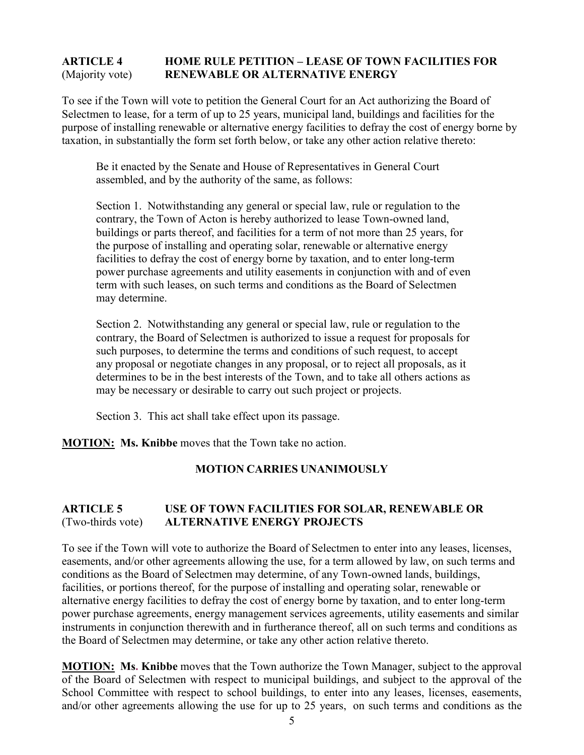# **ARTICLE 4 HOME RULE PETITION – LEASE OF TOWN FACILITIES FOR**  (Majority vote) **RENEWABLE OR ALTERNATIVE ENERGY**

To see if the Town will vote to petition the General Court for an Act authorizing the Board of Selectmen to lease, for a term of up to 25 years, municipal land, buildings and facilities for the purpose of installing renewable or alternative energy facilities to defray the cost of energy borne by taxation, in substantially the form set forth below, or take any other action relative thereto:

Be it enacted by the Senate and House of Representatives in General Court assembled, and by the authority of the same, as follows:

Section 1. Notwithstanding any general or special law, rule or regulation to the contrary, the Town of Acton is hereby authorized to lease Town-owned land, buildings or parts thereof, and facilities for a term of not more than 25 years, for the purpose of installing and operating solar, renewable or alternative energy facilities to defray the cost of energy borne by taxation, and to enter long-term power purchase agreements and utility easements in conjunction with and of even term with such leases, on such terms and conditions as the Board of Selectmen may determine.

Section 2. Notwithstanding any general or special law, rule or regulation to the contrary, the Board of Selectmen is authorized to issue a request for proposals for such purposes, to determine the terms and conditions of such request, to accept any proposal or negotiate changes in any proposal, or to reject all proposals, as it determines to be in the best interests of the Town, and to take all others actions as may be necessary or desirable to carry out such project or projects.

Section 3. This act shall take effect upon its passage.

**MOTION: Ms. Knibbe** moves that the Town take no action.

# **MOTION CARRIES UNANIMOUSLY**

# **ARTICLE 5 USE OF TOWN FACILITIES FOR SOLAR, RENEWABLE OR**  (Two-thirds vote) **ALTERNATIVE ENERGY PROJECTS**

To see if the Town will vote to authorize the Board of Selectmen to enter into any leases, licenses, easements, and/or other agreements allowing the use, for a term allowed by law, on such terms and conditions as the Board of Selectmen may determine, of any Town-owned lands, buildings, facilities, or portions thereof, for the purpose of installing and operating solar, renewable or alternative energy facilities to defray the cost of energy borne by taxation, and to enter long-term power purchase agreements, energy management services agreements, utility easements and similar instruments in conjunction therewith and in furtherance thereof, all on such terms and conditions as the Board of Selectmen may determine, or take any other action relative thereto.

**MOTION: Ms. Knibbe** moves that the Town authorize the Town Manager, subject to the approval of the Board of Selectmen with respect to municipal buildings, and subject to the approval of the School Committee with respect to school buildings, to enter into any leases, licenses, easements, and/or other agreements allowing the use for up to 25 years, on such terms and conditions as the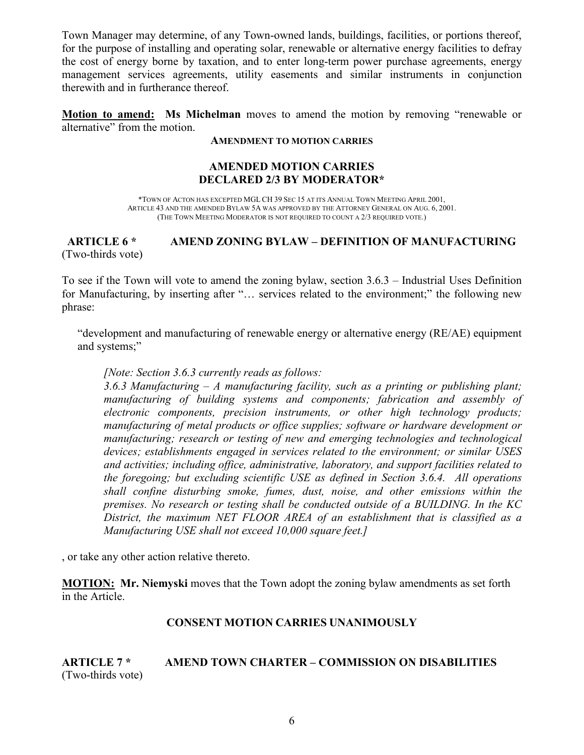Town Manager may determine, of any Town-owned lands, buildings, facilities, or portions thereof, for the purpose of installing and operating solar, renewable or alternative energy facilities to defray the cost of energy borne by taxation, and to enter long-term power purchase agreements, energy management services agreements, utility easements and similar instruments in conjunction therewith and in furtherance thereof.

**Motion to amend: Ms Michelman** moves to amend the motion by removing "renewable or alternative" from the motion.

#### **AMENDMENT TO MOTION CARRIES**

### **AMENDED MOTION CARRIES DECLARED 2/3 BY MODERATOR\***

\*TOWN OF ACTON HAS EXCEPTED MGL CH 39 SEC 15 AT ITS ANNUAL TOWN MEETING APRIL 2001, ARTICLE 43 AND THE AMENDED BYLAW 5A WAS APPROVED BY THE ATTORNEY GENERAL ON AUG. 6, 2001. (THE TOWN MEETING MODERATOR IS NOT REQUIRED TO COUNT A 2/3 REQUIRED VOTE.)

## **ARTICLE 6 \* AMEND ZONING BYLAW – DEFINITION OF MANUFACTURING** (Two-thirds vote)

To see if the Town will vote to amend the zoning bylaw, section 3.6.3 – Industrial Uses Definition for Manufacturing, by inserting after "… services related to the environment;" the following new phrase:

"development and manufacturing of renewable energy or alternative energy (RE/AE) equipment and systems;"

#### *[Note: Section 3.6.3 currently reads as follows:*

*3.6.3 Manufacturing – A manufacturing facility, such as a printing or publishing plant; manufacturing of building systems and components; fabrication and assembly of electronic components, precision instruments, or other high technology products; manufacturing of metal products or office supplies; software or hardware development or manufacturing; research or testing of new and emerging technologies and technological devices; establishments engaged in services related to the environment; or similar USES and activities; including office, administrative, laboratory, and support facilities related to the foregoing; but excluding scientific USE as defined in Section 3.6.4. All operations shall confine disturbing smoke, fumes, dust, noise, and other emissions within the premises. No research or testing shall be conducted outside of a BUILDING. In the KC District, the maximum NET FLOOR AREA of an establishment that is classified as a Manufacturing USE shall not exceed 10,000 square feet.]* 

, or take any other action relative thereto.

**MOTION: Mr. Niemyski** moves that the Town adopt the zoning bylaw amendments as set forth in the Article.

## **CONSENT MOTION CARRIES UNANIMOUSLY**

**ARTICLE 7 \* AMEND TOWN CHARTER – COMMISSION ON DISABILITIES**  (Two-thirds vote)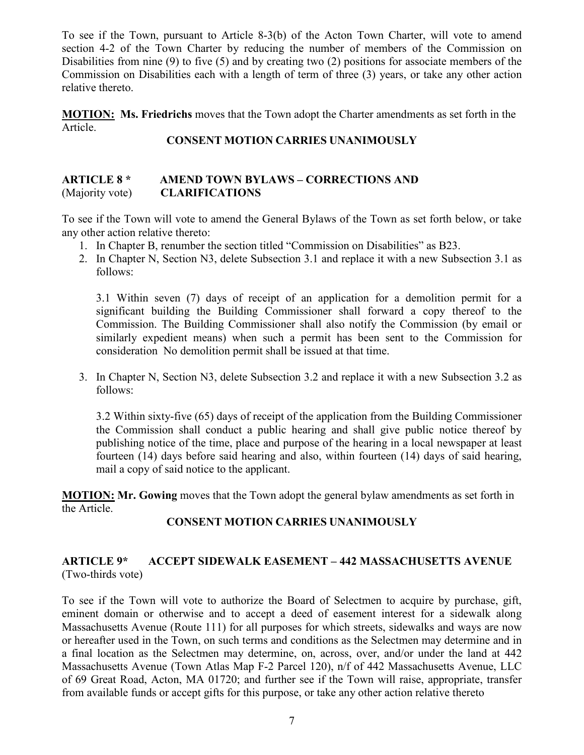To see if the Town, pursuant to Article 8-3(b) of the Acton Town Charter, will vote to amend section 4-2 of the Town Charter by reducing the number of members of the Commission on Disabilities from nine (9) to five (5) and by creating two (2) positions for associate members of the Commission on Disabilities each with a length of term of three (3) years, or take any other action relative thereto.

**MOTION: Ms. Friedrichs** moves that the Town adopt the Charter amendments as set forth in the Article.

## **CONSENT MOTION CARRIES UNANIMOUSLY**

# **ARTICLE 8 \* AMEND TOWN BYLAWS – CORRECTIONS AND**  (Majority vote) **CLARIFICATIONS**

To see if the Town will vote to amend the General Bylaws of the Town as set forth below, or take any other action relative thereto:

- 1. In Chapter B, renumber the section titled "Commission on Disabilities" as B23.
- 2. In Chapter N, Section N3, delete Subsection 3.1 and replace it with a new Subsection 3.1 as follows:

3.1 Within seven (7) days of receipt of an application for a demolition permit for a significant building the Building Commissioner shall forward a copy thereof to the Commission. The Building Commissioner shall also notify the Commission (by email or similarly expedient means) when such a permit has been sent to the Commission for consideration No demolition permit shall be issued at that time.

3. In Chapter N, Section N3, delete Subsection 3.2 and replace it with a new Subsection 3.2 as follows:

3.2 Within sixty-five (65) days of receipt of the application from the Building Commissioner the Commission shall conduct a public hearing and shall give public notice thereof by publishing notice of the time, place and purpose of the hearing in a local newspaper at least fourteen (14) days before said hearing and also, within fourteen (14) days of said hearing, mail a copy of said notice to the applicant.

**MOTION: Mr. Gowing** moves that the Town adopt the general bylaw amendments as set forth in the Article.

# **CONSENT MOTION CARRIES UNANIMOUSLY**

# **ARTICLE 9\* ACCEPT SIDEWALK EASEMENT – 442 MASSACHUSETTS AVENUE** (Two-thirds vote)

To see if the Town will vote to authorize the Board of Selectmen to acquire by purchase, gift, eminent domain or otherwise and to accept a deed of easement interest for a sidewalk along Massachusetts Avenue (Route 111) for all purposes for which streets, sidewalks and ways are now or hereafter used in the Town, on such terms and conditions as the Selectmen may determine and in a final location as the Selectmen may determine, on, across, over, and/or under the land at 442 Massachusetts Avenue (Town Atlas Map F-2 Parcel 120), n/f of 442 Massachusetts Avenue, LLC of 69 Great Road, Acton, MA 01720; and further see if the Town will raise, appropriate, transfer from available funds or accept gifts for this purpose, or take any other action relative thereto